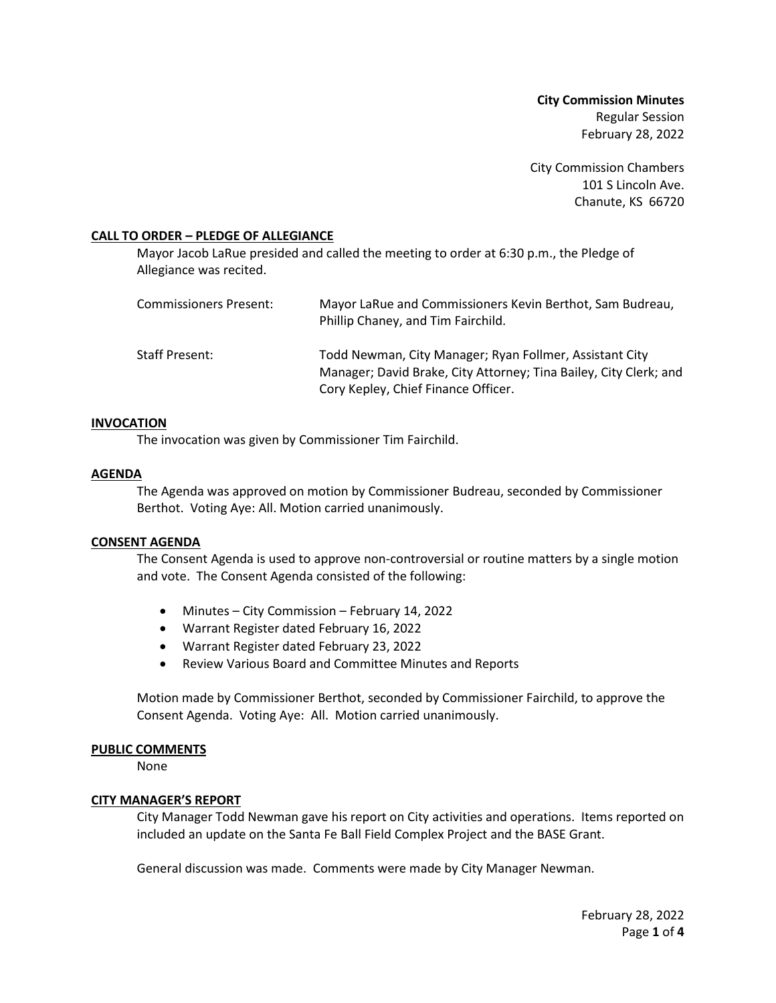**City Commission Minutes** Regular Session February 28, 2022

City Commission Chambers 101 S Lincoln Ave. Chanute, KS 66720

## **CALL TO ORDER – PLEDGE OF ALLEGIANCE**

Mayor Jacob LaRue presided and called the meeting to order at 6:30 p.m., the Pledge of Allegiance was recited.

| Commissioners Present: | Mayor LaRue and Commissioners Kevin Berthot, Sam Budreau,<br>Phillip Chaney, and Tim Fairchild.                                                                     |
|------------------------|---------------------------------------------------------------------------------------------------------------------------------------------------------------------|
| Staff Present:         | Todd Newman, City Manager; Ryan Follmer, Assistant City<br>Manager; David Brake, City Attorney; Tina Bailey, City Clerk; and<br>Cory Kepley, Chief Finance Officer. |

## **INVOCATION**

The invocation was given by Commissioner Tim Fairchild.

#### **AGENDA**

The Agenda was approved on motion by Commissioner Budreau, seconded by Commissioner Berthot. Voting Aye: All. Motion carried unanimously.

## **CONSENT AGENDA**

The Consent Agenda is used to approve non-controversial or routine matters by a single motion and vote. The Consent Agenda consisted of the following:

- Minutes City Commission February 14, 2022
- Warrant Register dated February 16, 2022
- Warrant Register dated February 23, 2022
- Review Various Board and Committee Minutes and Reports

Motion made by Commissioner Berthot, seconded by Commissioner Fairchild, to approve the Consent Agenda. Voting Aye: All. Motion carried unanimously.

#### **PUBLIC COMMENTS**

None

## **CITY MANAGER'S REPORT**

City Manager Todd Newman gave his report on City activities and operations. Items reported on included an update on the Santa Fe Ball Field Complex Project and the BASE Grant.

General discussion was made. Comments were made by City Manager Newman.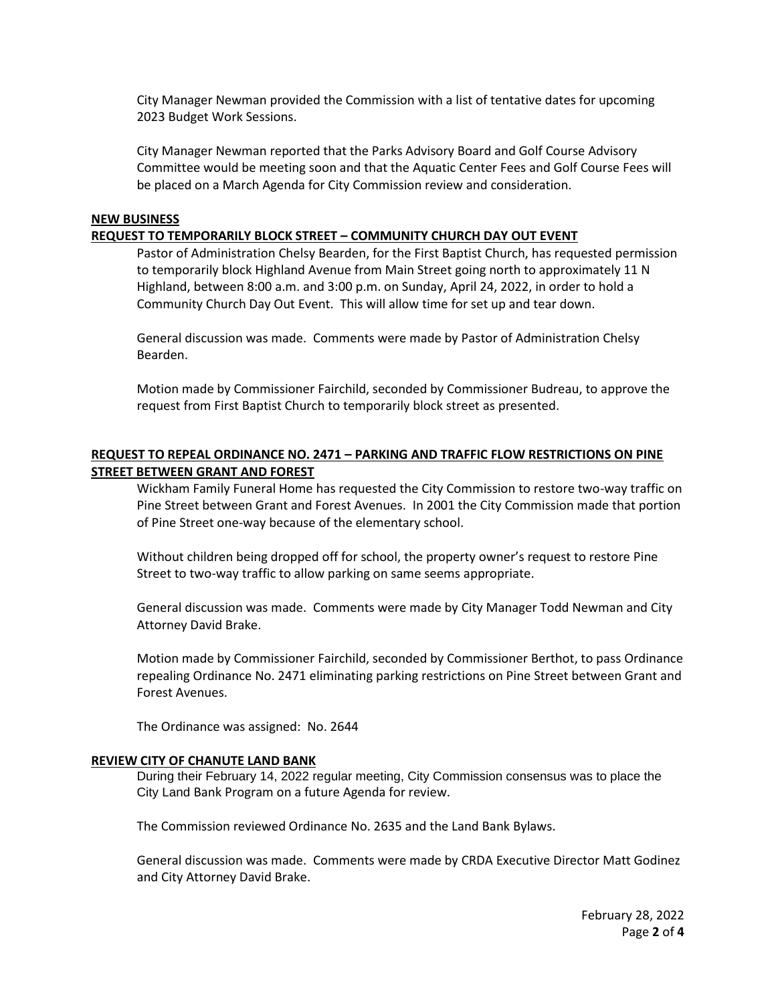City Manager Newman provided the Commission with a list of tentative dates for upcoming 2023 Budget Work Sessions.

City Manager Newman reported that the Parks Advisory Board and Golf Course Advisory Committee would be meeting soon and that the Aquatic Center Fees and Golf Course Fees will be placed on a March Agenda for City Commission review and consideration.

#### **NEW BUSINESS**

#### **REQUEST TO TEMPORARILY BLOCK STREET – COMMUNITY CHURCH DAY OUT EVENT**

Pastor of Administration Chelsy Bearden, for the First Baptist Church, has requested permission to temporarily block Highland Avenue from Main Street going north to approximately 11 N Highland, between 8:00 a.m. and 3:00 p.m. on Sunday, April 24, 2022, in order to hold a Community Church Day Out Event. This will allow time for set up and tear down.

General discussion was made. Comments were made by Pastor of Administration Chelsy Bearden.

Motion made by Commissioner Fairchild, seconded by Commissioner Budreau, to approve the request from First Baptist Church to temporarily block street as presented.

# **REQUEST TO REPEAL ORDINANCE NO. 2471 – PARKING AND TRAFFIC FLOW RESTRICTIONS ON PINE STREET BETWEEN GRANT AND FOREST**

Wickham Family Funeral Home has requested the City Commission to restore two-way traffic on Pine Street between Grant and Forest Avenues. In 2001 the City Commission made that portion of Pine Street one-way because of the elementary school.

Without children being dropped off for school, the property owner's request to restore Pine Street to two-way traffic to allow parking on same seems appropriate.

General discussion was made. Comments were made by City Manager Todd Newman and City Attorney David Brake.

Motion made by Commissioner Fairchild, seconded by Commissioner Berthot, to pass Ordinance repealing Ordinance No. 2471 eliminating parking restrictions on Pine Street between Grant and Forest Avenues.

The Ordinance was assigned: No. 2644

## **REVIEW CITY OF CHANUTE LAND BANK**

During their February 14, 2022 regular meeting, City Commission consensus was to place the City Land Bank Program on a future Agenda for review.

The Commission reviewed Ordinance No. 2635 and the Land Bank Bylaws.

General discussion was made. Comments were made by CRDA Executive Director Matt Godinez and City Attorney David Brake.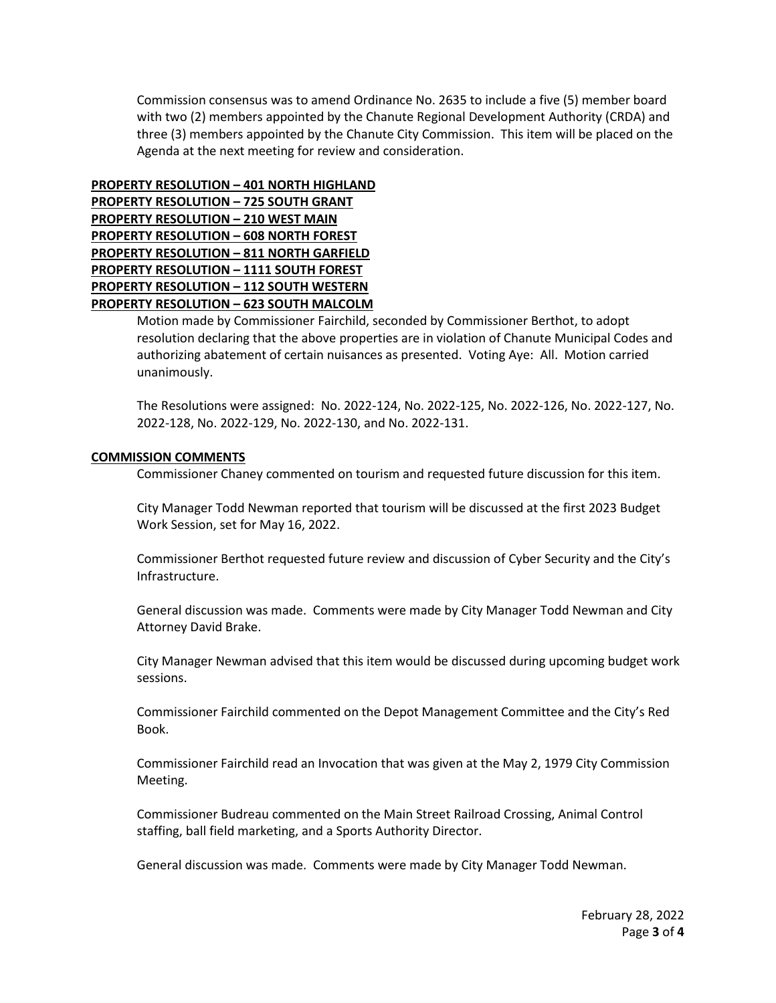Commission consensus was to amend Ordinance No. 2635 to include a five (5) member board with two (2) members appointed by the Chanute Regional Development Authority (CRDA) and three (3) members appointed by the Chanute City Commission. This item will be placed on the Agenda at the next meeting for review and consideration.

# **PROPERTY RESOLUTION – 401 NORTH HIGHLAND PROPERTY RESOLUTION – 725 SOUTH GRANT PROPERTY RESOLUTION – 210 WEST MAIN PROPERTY RESOLUTION – 608 NORTH FOREST PROPERTY RESOLUTION – 811 NORTH GARFIELD PROPERTY RESOLUTION – 1111 SOUTH FOREST PROPERTY RESOLUTION – 112 SOUTH WESTERN PROPERTY RESOLUTION – 623 SOUTH MALCOLM**

Motion made by Commissioner Fairchild, seconded by Commissioner Berthot, to adopt resolution declaring that the above properties are in violation of Chanute Municipal Codes and authorizing abatement of certain nuisances as presented. Voting Aye: All. Motion carried unanimously.

The Resolutions were assigned: No. 2022-124, No. 2022-125, No. 2022-126, No. 2022-127, No. 2022-128, No. 2022-129, No. 2022-130, and No. 2022-131.

# **COMMISSION COMMENTS**

Commissioner Chaney commented on tourism and requested future discussion for this item.

City Manager Todd Newman reported that tourism will be discussed at the first 2023 Budget Work Session, set for May 16, 2022.

Commissioner Berthot requested future review and discussion of Cyber Security and the City's Infrastructure.

General discussion was made. Comments were made by City Manager Todd Newman and City Attorney David Brake.

City Manager Newman advised that this item would be discussed during upcoming budget work sessions.

Commissioner Fairchild commented on the Depot Management Committee and the City's Red Book.

Commissioner Fairchild read an Invocation that was given at the May 2, 1979 City Commission Meeting.

Commissioner Budreau commented on the Main Street Railroad Crossing, Animal Control staffing, ball field marketing, and a Sports Authority Director.

General discussion was made. Comments were made by City Manager Todd Newman.